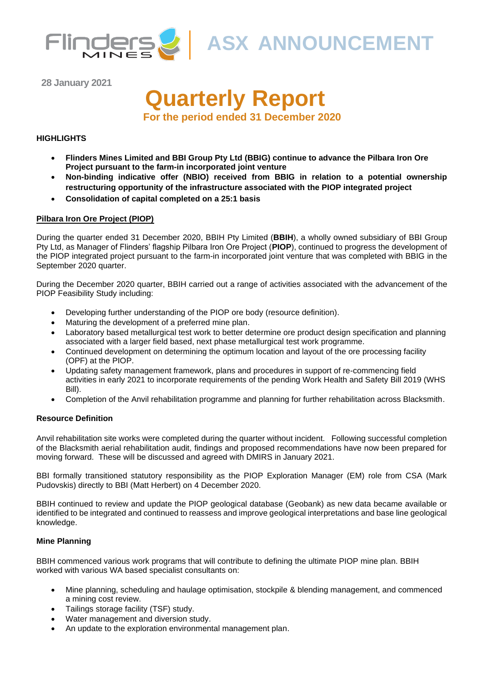

**ASX ANNOUNCEMENT** 

**28 January 2021**

# **Quarterly Report**

**For the period ended 31 December 2020**

#### **HIGHLIGHTS**

- **Flinders Mines Limited and BBI Group Pty Ltd (BBIG) continue to advance the Pilbara Iron Ore Project pursuant to the farm-in incorporated joint venture**
- **Non-binding indicative offer (NBIO) received from BBIG in relation to a potential ownership restructuring opportunity of the infrastructure associated with the PIOP integrated project**
- **Consolidation of capital completed on a 25:1 basis**

#### **Pilbara Iron Ore Project (PIOP)**

During the quarter ended 31 December 2020, BBIH Pty Limited (**BBIH**), a wholly owned subsidiary of BBI Group Pty Ltd, as Manager of Flinders' flagship Pilbara Iron Ore Project (**PIOP**), continued to progress the development of the PIOP integrated project pursuant to the farm-in incorporated joint venture that was completed with BBIG in the September 2020 quarter.

During the December 2020 quarter, BBIH carried out a range of activities associated with the advancement of the PIOP Feasibility Study including:

- Developing further understanding of the PIOP ore body (resource definition).
- Maturing the development of a preferred mine plan.
- Laboratory based metallurgical test work to better determine ore product design specification and planning associated with a larger field based, next phase metallurgical test work programme.
- Continued development on determining the optimum location and layout of the ore processing facility (OPF) at the PIOP.
- Updating safety management framework, plans and procedures in support of re-commencing field activities in early 2021 to incorporate requirements of the pending Work Health and Safety Bill 2019 (WHS Bill).
- Completion of the Anvil rehabilitation programme and planning for further rehabilitation across Blacksmith.

#### **Resource Definition**

Anvil rehabilitation site works were completed during the quarter without incident. Following successful completion of the Blacksmith aerial rehabilitation audit, findings and proposed recommendations have now been prepared for moving forward. These will be discussed and agreed with DMIRS in January 2021.

BBI formally transitioned statutory responsibility as the PIOP Exploration Manager (EM) role from CSA (Mark Pudovskis) directly to BBI (Matt Herbert) on 4 December 2020.

BBIH continued to review and update the PIOP geological database (Geobank) as new data became available or identified to be integrated and continued to reassess and improve geological interpretations and base line geological knowledge.

#### **Mine Planning**

BBIH commenced various work programs that will contribute to defining the ultimate PIOP mine plan. BBIH worked with various WA based specialist consultants on:

- Mine planning, scheduling and haulage optimisation, stockpile & blending management, and commenced a mining cost review.
- Tailings storage facility (TSF) study.
- Water management and diversion study.
- An update to the exploration environmental management plan.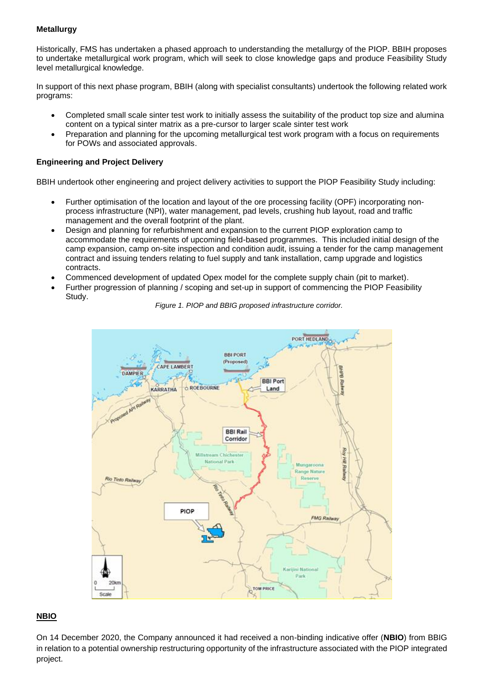#### **Metallurgy**

Historically, FMS has undertaken a phased approach to understanding the metallurgy of the PIOP. BBIH proposes to undertake metallurgical work program, which will seek to close knowledge gaps and produce Feasibility Study level metallurgical knowledge.

In support of this next phase program, BBIH (along with specialist consultants) undertook the following related work programs:

- Completed small scale sinter test work to initially assess the suitability of the product top size and alumina content on a typical sinter matrix as a pre-cursor to larger scale sinter test work
- Preparation and planning for the upcoming metallurgical test work program with a focus on requirements for POWs and associated approvals.

#### **Engineering and Project Delivery**

BBIH undertook other engineering and project delivery activities to support the PIOP Feasibility Study including:

- Further optimisation of the location and layout of the ore processing facility (OPF) incorporating nonprocess infrastructure (NPI), water management, pad levels, crushing hub layout, road and traffic management and the overall footprint of the plant.
- Design and planning for refurbishment and expansion to the current PIOP exploration camp to accommodate the requirements of upcoming field-based programmes. This included initial design of the camp expansion, camp on-site inspection and condition audit, issuing a tender for the camp management contract and issuing tenders relating to fuel supply and tank installation, camp upgrade and logistics contracts.
- Commenced development of updated Opex model for the complete supply chain (pit to market).
- Further progression of planning / scoping and set-up in support of commencing the PIOP Feasibility Study.



*Figure 1. PIOP and BBIG proposed infrastructure corridor.*

#### **NBIO**

On 14 December 2020, the Company announced it had received a non-binding indicative offer (**NBIO**) from BBIG in relation to a potential ownership restructuring opportunity of the infrastructure associated with the PIOP integrated project.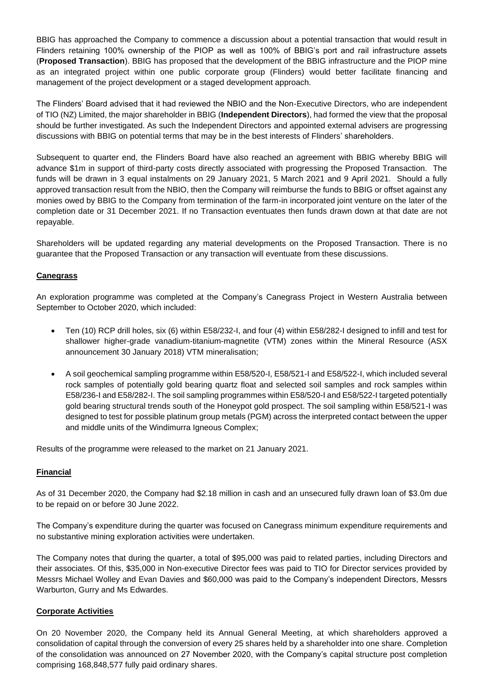BBIG has approached the Company to commence a discussion about a potential transaction that would result in Flinders retaining 100% ownership of the PIOP as well as 100% of BBIG's port and rail infrastructure assets (**Proposed Transaction**). BBIG has proposed that the development of the BBIG infrastructure and the PIOP mine as an integrated project within one public corporate group (Flinders) would better facilitate financing and management of the project development or a staged development approach.

The Flinders' Board advised that it had reviewed the NBIO and the Non-Executive Directors, who are independent of TIO (NZ) Limited, the major shareholder in BBIG (**Independent Directors**), had formed the view that the proposal should be further investigated. As such the Independent Directors and appointed external advisers are progressing discussions with BBIG on potential terms that may be in the best interests of Flinders' shareholders.

Subsequent to quarter end, the Flinders Board have also reached an agreement with BBIG whereby BBIG will advance \$1m in support of third-party costs directly associated with progressing the Proposed Transaction. The funds will be drawn in 3 equal instalments on 29 January 2021, 5 March 2021 and 9 April 2021. Should a fully approved transaction result from the NBIO, then the Company will reimburse the funds to BBIG or offset against any monies owed by BBIG to the Company from termination of the farm-in incorporated joint venture on the later of the completion date or 31 December 2021. If no Transaction eventuates then funds drawn down at that date are not repayable.

Shareholders will be updated regarding any material developments on the Proposed Transaction. There is no guarantee that the Proposed Transaction or any transaction will eventuate from these discussions.

#### **Canegrass**

An exploration programme was completed at the Company's Canegrass Project in Western Australia between September to October 2020, which included:

- Ten (10) RCP drill holes, six (6) within E58/232-I, and four (4) within E58/282-I designed to infill and test for shallower higher-grade vanadium-titanium-magnetite (VTM) zones within the Mineral Resource (ASX announcement 30 January 2018) VTM mineralisation;
- A soil geochemical sampling programme within E58/520-I, E58/521-I and E58/522-I, which included several rock samples of potentially gold bearing quartz float and selected soil samples and rock samples within E58/236-I and E58/282-I. The soil sampling programmes within E58/520-I and E58/522-I targeted potentially gold bearing structural trends south of the Honeypot gold prospect. The soil sampling within E58/521-I was designed to test for possible platinum group metals (PGM) across the interpreted contact between the upper and middle units of the Windimurra Igneous Complex;

Results of the programme were released to the market on 21 January 2021.

#### **Financial**

As of 31 December 2020, the Company had \$2.18 million in cash and an unsecured fully drawn loan of \$3.0m due to be repaid on or before 30 June 2022.

The Company's expenditure during the quarter was focused on Canegrass minimum expenditure requirements and no substantive mining exploration activities were undertaken.

The Company notes that during the quarter, a total of \$95,000 was paid to related parties, including Directors and their associates. Of this, \$35,000 in Non-executive Director fees was paid to TIO for Director services provided by Messrs Michael Wolley and Evan Davies and \$60,000 was paid to the Company's independent Directors, Messrs Warburton, Gurry and Ms Edwardes.

#### **Corporate Activities**

On 20 November 2020, the Company held its Annual General Meeting, at which shareholders approved a consolidation of capital through the conversion of every 25 shares held by a shareholder into one share. Completion of the consolidation was announced on 27 November 2020, with the Company's capital structure post completion comprising 168,848,577 fully paid ordinary shares.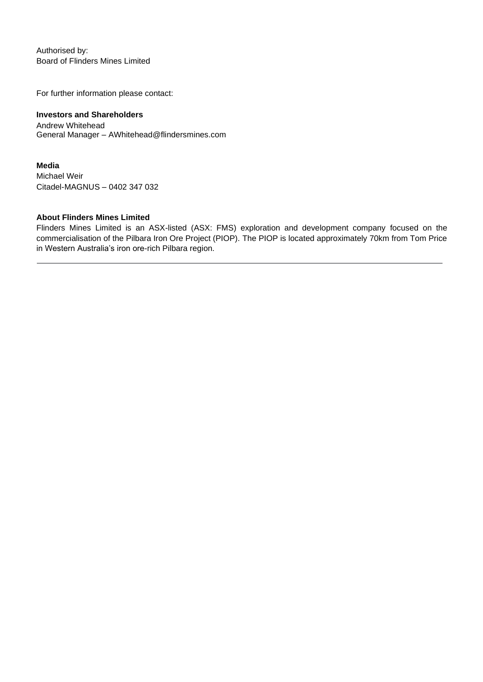Authorised by: Board of Flinders Mines Limited

For further information please contact:

#### **Investors and Shareholders**

Andrew Whitehead General Manager – AWhitehead@flindersmines.com

#### **Media**

Michael Weir Citadel-MAGNUS – 0402 347 032

#### **About Flinders Mines Limited**

Flinders Mines Limited is an ASX-listed (ASX: FMS) exploration and development company focused on the commercialisation of the Pilbara Iron Ore Project (PIOP). The PIOP is located approximately 70km from Tom Price in Western Australia's iron ore-rich Pilbara region.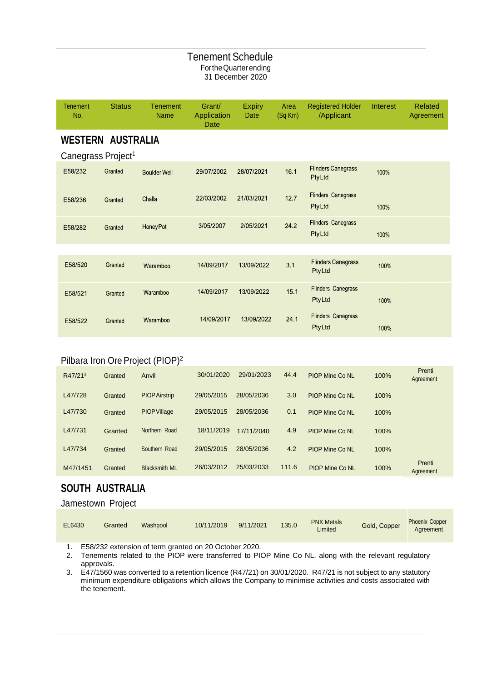#### Tenement Schedule FortheQuarterending 31 December 2020

| <b>Tenement</b><br>No.         | <b>Status</b> | <b>Tenement</b><br><b>Name</b> | Grant/<br>Application<br>Date | <b>Expiry</b><br>Date | Area<br>$(Sq$ Km $)$ | <b>Registered Holder</b><br>/Applicant     | Interest | <b>Related</b><br>Agreement |
|--------------------------------|---------------|--------------------------------|-------------------------------|-----------------------|----------------------|--------------------------------------------|----------|-----------------------------|
| <b>WESTERN AUSTRALIA</b>       |               |                                |                               |                       |                      |                                            |          |                             |
| Canegrass Project <sup>1</sup> |               |                                |                               |                       |                      |                                            |          |                             |
| E58/232                        | Granted       | <b>Boulder Well</b>            | 29/07/2002                    | 28/07/2021            | 16.1                 | <b>Flinders Canegrass</b><br>PtyLtd        | 100%     |                             |
| E58/236                        | Granted       | Challa                         | 22/03/2002                    | 21/03/2021            | 12.7                 | <b>Flinders Canegrass</b><br><b>PtyLtd</b> | 100%     |                             |
| E58/282                        | Granted       | <b>Honey Pot</b>               | 3/05/2007                     | 2/05/2021             | 24.2                 | <b>Flinders Canegrass</b><br><b>PtyLtd</b> | 100%     |                             |
|                                |               |                                |                               |                       |                      |                                            |          |                             |
| E58/520                        | Granted       | Waramboo                       | 14/09/2017                    | 13/09/2022            | 3.1                  | <b>Flinders Canegrass</b><br><b>PtyLtd</b> | 100%     |                             |
| E58/521                        | Granted       | Waramboo                       | 14/09/2017                    | 13/09/2022            | 15.1                 | <b>Flinders Canegrass</b><br><b>PtyLtd</b> | 100%     |                             |
| E58/522                        | Granted       | Waramboo                       | 14/09/2017                    | 13/09/2022            | 24.1                 | <b>Flinders Canegrass</b><br><b>PtyLtd</b> | 100%     |                             |

## Pilbara Iron Ore Project (PIOP)<sup>2</sup>

| R47/21 <sup>3</sup> | Granted | Anvil                | 30/01/2020 | 29/01/2023 | 44.4  | <b>PIOP Mine Co NL</b> | 100% | Prenti<br>Agreement |
|---------------------|---------|----------------------|------------|------------|-------|------------------------|------|---------------------|
| L47/728             | Granted | <b>PIOP Airstrip</b> | 29/05/2015 | 28/05/2036 | 3.0   | <b>PIOP Mine Co NL</b> | 100% |                     |
| L47/730             | Granted | <b>PIOP Village</b>  | 29/05/2015 | 28/05/2036 | 0.1   | <b>PIOP Mine Co NL</b> | 100% |                     |
| L47/731             | Granted | Northern Road        | 18/11/2019 | 17/11/2040 | 4.9   | <b>PIOP Mine Co NL</b> | 100% |                     |
| L47/734             | Granted | Southern Road        | 29/05/2015 | 28/05/2036 | 4.2   | <b>PIOP Mine Co NL</b> | 100% |                     |
| M47/1451            | Granted | <b>Blacksmith ML</b> | 26/03/2012 | 25/03/2033 | 111.6 | <b>PIOP Mine Co NL</b> | 100% | Prenti<br>Agreement |

# **SOUTH AUSTRALIA**

## Jamestown Project

| EL6430 | Granted | Washpool | 10/11/2019 | 9/11/2021 | 135.0 | <b>PNX Metals</b><br>Limited | Gold, Copper | <b>Phoenix Copper</b><br>Agreement |
|--------|---------|----------|------------|-----------|-------|------------------------------|--------------|------------------------------------|
|--------|---------|----------|------------|-----------|-------|------------------------------|--------------|------------------------------------|

1. E58/232 extension of term granted on 20 October 2020.

2. Tenements related to the PIOP were transferred to PIOP Mine Co NL, along with the relevant regulatory approvals.

3. E47/1560 was converted to a retention licence (R47/21) on 30/01/2020. R47/21 is not subject to any statutory minimum expenditure obligations which allows the Company to minimise activities and costs associated with the tenement.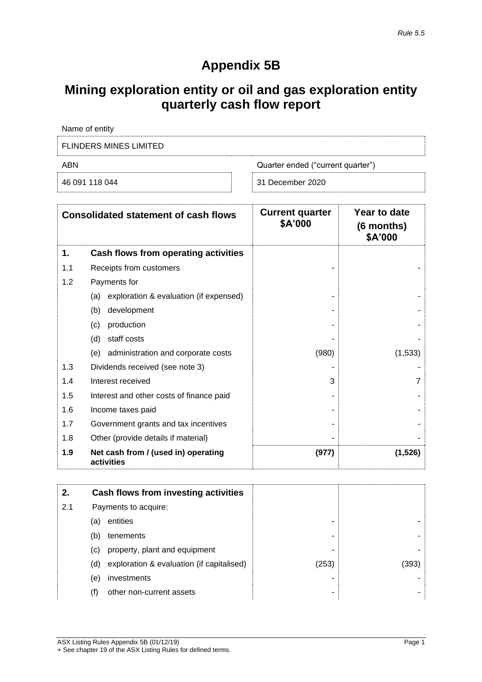# **Appendix 5B**

# **Mining exploration entity or oil and gas exploration entity quarterly cash flow report**

| Name of entity         |                                   |  |  |  |
|------------------------|-----------------------------------|--|--|--|
| FLINDERS MINES LIMITED |                                   |  |  |  |
| ABN                    | Quarter ended ("current quarter") |  |  |  |
| 46 091 118 044         | 31 December 2020                  |  |  |  |

| <b>Consolidated statement of cash flows</b> |                                                   | <b>Current quarter</b><br>\$A'000 | Year to date<br>(6 months)<br>\$A'000 |
|---------------------------------------------|---------------------------------------------------|-----------------------------------|---------------------------------------|
| 1.                                          | Cash flows from operating activities              |                                   |                                       |
| 1.1                                         | Receipts from customers                           |                                   |                                       |
| 1.2                                         | Payments for                                      |                                   |                                       |
|                                             | exploration & evaluation (if expensed)<br>(a)     |                                   |                                       |
|                                             | development<br>(b)                                |                                   |                                       |
|                                             | production<br>(c)                                 |                                   |                                       |
|                                             | (d)<br>staff costs                                |                                   |                                       |
|                                             | administration and corporate costs<br>(e)         | (980)                             | (1,533)                               |
| 1.3                                         | Dividends received (see note 3)                   |                                   |                                       |
| 1.4                                         | Interest received                                 | 3                                 | 7                                     |
| 1.5                                         | Interest and other costs of finance paid          |                                   |                                       |
| 1.6                                         | Income taxes paid                                 |                                   |                                       |
| 1.7                                         | Government grants and tax incentives              |                                   |                                       |
| 1.8                                         | Other (provide details if material)               |                                   |                                       |
| 1.9                                         | Net cash from / (used in) operating<br>activities | (977)                             | (1,526)                               |

| 2.  |     | Cash flows from investing activities      |       |       |
|-----|-----|-------------------------------------------|-------|-------|
| 2.1 |     | Payments to acquire:                      |       |       |
|     | (a) | entities                                  | -     |       |
|     | (b) | tenements                                 | -     |       |
|     | (C) | property, plant and equipment             | -     |       |
|     | (d) | exploration & evaluation (if capitalised) | (253) | (393) |
|     | (e) | investments                               | -     |       |
|     | (f) | other non-current assets                  | -     |       |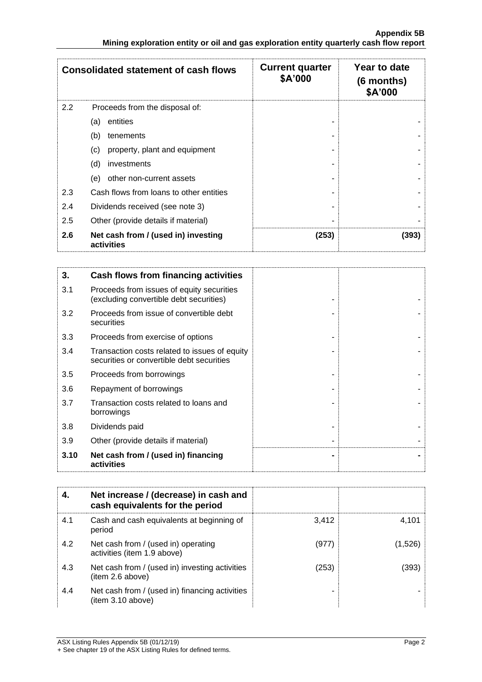|     | <b>Consolidated statement of cash flows</b>       | <b>Current quarter</b><br>\$A'000 | Year to date<br>$(6$ months)<br>\$A'000 |
|-----|---------------------------------------------------|-----------------------------------|-----------------------------------------|
| 2.2 | Proceeds from the disposal of:                    |                                   |                                         |
|     | entities<br>(a)                                   |                                   |                                         |
|     | (b)<br>tenements                                  |                                   |                                         |
|     | property, plant and equipment<br>(c)              |                                   |                                         |
|     | (d)<br>investments                                |                                   |                                         |
|     | other non-current assets<br>(e)                   |                                   |                                         |
| 2.3 | Cash flows from loans to other entities           |                                   |                                         |
| 2.4 | Dividends received (see note 3)                   |                                   |                                         |
| 2.5 | Other (provide details if material)               |                                   |                                         |
| 2.6 | Net cash from / (used in) investing<br>activities | (253)                             | (393)                                   |

| 3.   | Cash flows from financing activities                                                       |  |
|------|--------------------------------------------------------------------------------------------|--|
| 3.1  | Proceeds from issues of equity securities<br>(excluding convertible debt securities)       |  |
| 3.2  | Proceeds from issue of convertible debt<br>securities                                      |  |
| 3.3  | Proceeds from exercise of options                                                          |  |
| 3.4  | Transaction costs related to issues of equity<br>securities or convertible debt securities |  |
| 3.5  | Proceeds from borrowings                                                                   |  |
| 3.6  | Repayment of borrowings                                                                    |  |
| 3.7  | Transaction costs related to loans and<br>borrowings                                       |  |
| 3.8  | Dividends paid                                                                             |  |
| 3.9  | Other (provide details if material)                                                        |  |
| 3.10 | Net cash from / (used in) financing<br>activities                                          |  |

|     | Net increase / (decrease) in cash and<br>cash equivalents for the period |       |         |
|-----|--------------------------------------------------------------------------|-------|---------|
| 4.1 | Cash and cash equivalents at beginning of<br>period                      | 3,412 | 4.101   |
| 4.2 | Net cash from / (used in) operating<br>activities (item 1.9 above)       | (977) | (1,526) |
| 4.3 | Net cash from / (used in) investing activities<br>(item 2.6 above)       | (253) | (393)   |
| 4.4 | Net cash from / (used in) financing activities<br>(item 3.10 above)      |       |         |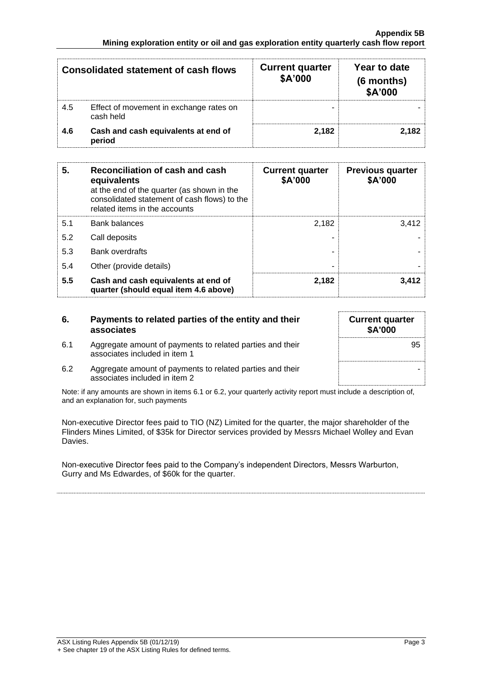| <b>Consolidated statement of cash flows</b> |                                                      | <b>Current quarter</b><br>\$A'000 | Year to date<br>(6 months)<br>\$A'000 |
|---------------------------------------------|------------------------------------------------------|-----------------------------------|---------------------------------------|
| 4.5                                         | Effect of movement in exchange rates on<br>cash held |                                   |                                       |
| 4.6                                         | Cash and cash equivalents at end of<br>period        | 2.182                             | 2.182                                 |

| 5.  | Reconciliation of cash and cash<br>equivalents<br>at the end of the quarter (as shown in the<br>consolidated statement of cash flows) to the<br>related items in the accounts | <b>Current quarter</b><br>\$A'000 | <b>Previous quarter</b><br>\$A'000 |
|-----|-------------------------------------------------------------------------------------------------------------------------------------------------------------------------------|-----------------------------------|------------------------------------|
| 5.1 | <b>Bank balances</b>                                                                                                                                                          | 2.182                             | 3.412                              |
| 5.2 | Call deposits                                                                                                                                                                 |                                   |                                    |
| 5.3 | <b>Bank overdrafts</b>                                                                                                                                                        |                                   |                                    |
| 5.4 | Other (provide details)                                                                                                                                                       | -                                 |                                    |
| 5.5 | Cash and cash equivalents at end of<br>quarter (should equal item 4.6 above)                                                                                                  | 2,182                             | 3,412                              |

| 6.  | Payments to related parties of the entity and their<br>associates                          | <b>Current quarter</b><br>\$A'000 |
|-----|--------------------------------------------------------------------------------------------|-----------------------------------|
| 6.1 | Aggregate amount of payments to related parties and their<br>associates included in item 1 | 95                                |
| 6.2 | Aggregate amount of payments to related parties and their<br>associates included in item 2 |                                   |

Note: if any amounts are shown in items 6.1 or 6.2, your quarterly activity report must include a description of, and an explanation for, such payments

Non-executive Director fees paid to TIO (NZ) Limited for the quarter, the major shareholder of the Flinders Mines Limited, of \$35k for Director services provided by Messrs Michael Wolley and Evan Davies.

Non-executive Director fees paid to the Company's independent Directors, Messrs Warburton, Gurry and Ms Edwardes, of \$60k for the quarter.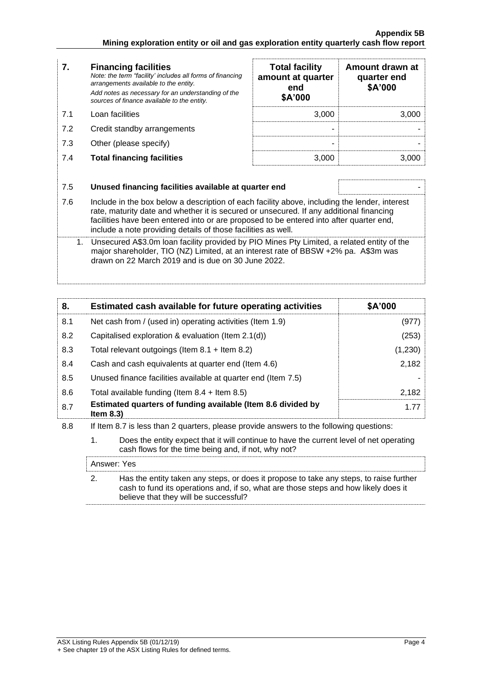f

| 7.  | <b>Financing facilities</b><br>Note: the term "facility' includes all forms of financing<br>arrangements available to the entity.                                                                                                                                                                                                                    | <b>Total facility</b><br>amount at quarter<br>end | Amount drawn at<br>quarter end<br>\$A'000 |
|-----|------------------------------------------------------------------------------------------------------------------------------------------------------------------------------------------------------------------------------------------------------------------------------------------------------------------------------------------------------|---------------------------------------------------|-------------------------------------------|
|     | Add notes as necessary for an understanding of the<br>sources of finance available to the entity.                                                                                                                                                                                                                                                    | \$A'000                                           |                                           |
| 7.1 | Loan facilities                                                                                                                                                                                                                                                                                                                                      | 3,000                                             | 3,000                                     |
| 7.2 | Credit standby arrangements                                                                                                                                                                                                                                                                                                                          |                                                   |                                           |
| 7.3 | Other (please specify)                                                                                                                                                                                                                                                                                                                               |                                                   |                                           |
| 7.4 | <b>Total financing facilities</b>                                                                                                                                                                                                                                                                                                                    | 3,000                                             | 3,000                                     |
|     |                                                                                                                                                                                                                                                                                                                                                      |                                                   |                                           |
| 7.5 | Unused financing facilities available at quarter end                                                                                                                                                                                                                                                                                                 |                                                   |                                           |
| 7.6 | Include in the box below a description of each facility above, including the lender, interest<br>rate, maturity date and whether it is secured or unsecured. If any additional financing<br>facilities have been entered into or are proposed to be entered into after quarter end,<br>include a note providing details of those facilities as well. |                                                   |                                           |
| 1.  | Unsecured A\$3.0m loan facility provided by PIO Mines Pty Limited, a related entity of the<br>major shareholder, TIO (NZ) Limited, at an interest rate of BBSW +2% pa. A\$3m was<br>drawn on 22 March 2019 and is due on 30 June 2022.                                                                                                               |                                                   |                                           |

| 8.  | Estimated cash available for future operating activities                                                                                             | \$A'000 |  |
|-----|------------------------------------------------------------------------------------------------------------------------------------------------------|---------|--|
| 8.1 | Net cash from / (used in) operating activities (Item 1.9)                                                                                            | (977)   |  |
| 8.2 | Capitalised exploration & evaluation (Item 2.1(d))                                                                                                   | (253)   |  |
| 8.3 | Total relevant outgoings (Item $8.1 +$ Item $8.2$ )                                                                                                  | (1,230) |  |
| 8.4 | Cash and cash equivalents at quarter end (Item 4.6)                                                                                                  | 2,182   |  |
| 8.5 | Unused finance facilities available at quarter end (Item 7.5)                                                                                        |         |  |
| 8.6 | Total available funding (Item $8.4 +$ Item $8.5$ )                                                                                                   | 2,182   |  |
| 8.7 | Estimated quarters of funding available (Item 8.6 divided by<br>Item $8.3$ )                                                                         | 1.77    |  |
| 8.8 | If Item 8.7 is less than 2 quarters, please provide answers to the following questions:                                                              |         |  |
|     | 1.<br>Does the entity expect that it will continue to have the current level of net operating<br>cash flows for the time being and, if not, why not? |         |  |
|     | Answer: Yes                                                                                                                                          |         |  |

| Has the entity taken any steps, or does it propose to take any steps, to raise further |
|----------------------------------------------------------------------------------------|
| cash to fund its operations and, if so, what are those steps and how likely does it    |
| believe that they will be successful?                                                  |
|                                                                                        |